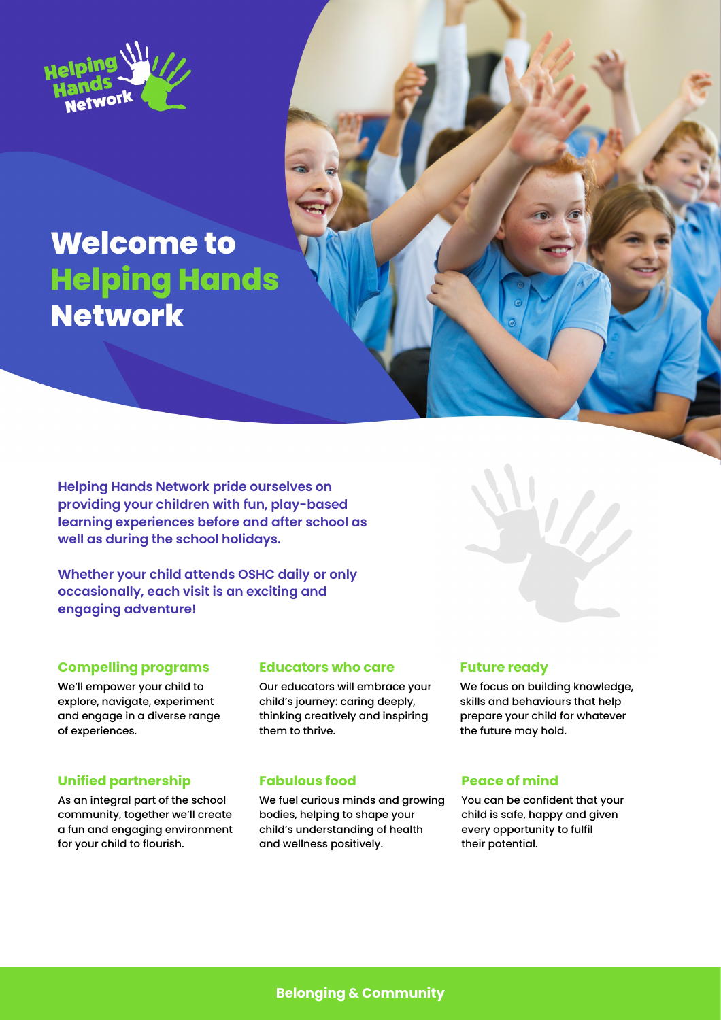

# **Welcome to Helping Hands Network**

**Helping Hands Network pride ourselves on providing your children with fun, play-based learning experiences before and after school as well as during the school holidays.**

**Whether your child attends OSHC daily or only occasionally, each visit is an exciting and engaging adventure!**

## **Compelling programs**

We'll empower your child to explore, navigate, experiment and engage in a diverse range of experiences.

## **Unified partnership**

As an integral part of the school community, together we'll create a fun and engaging environment for your child to flourish.

## **Educators who care**

Our educators will embrace your child's journey: caring deeply, thinking creatively and inspiring them to thrive.

## **Fabulous food**

We fuel curious minds and growing bodies, helping to shape your child's understanding of health and wellness positively.

## **Future ready**

We focus on building knowledge, skills and behaviours that help prepare your child for whatever the future may hold.

## **Peace of mind**

You can be confident that your child is safe, happy and given every opportunity to fulfil their potential.